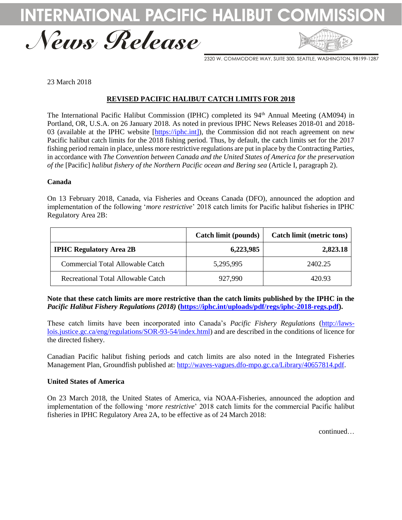





2320 W. COMMODORE WAY, SUITE 300, SEATTLE, WASHINGTON, 98199-1287

23 March 2018

## **REVISED PACIFIC HALIBUT CATCH LIMITS FOR 2018**

The International Pacific Halibut Commission (IPHC) completed its 94<sup>th</sup> Annual Meeting (AM094) in Portland, OR, U.S.A. on 26 January 2018. As noted in previous IPHC News Releases 2018-01 and 2018- 03 (available at the IPHC website [\[https://iphc.int\]](https://iphc.int/)), the Commission did not reach agreement on new Pacific halibut catch limits for the 2018 fishing period. Thus, by default, the catch limits set for the 2017 fishing period remain in place, unless more restrictive regulations are put in place by the Contracting Parties, in accordance with *The Convention between Canada and the United States of America for the preservation of the* [Pacific] *halibut fishery of the Northern Pacific ocean and Bering sea* (Article I, paragraph 2).

## **Canada**

On 13 February 2018, Canada, via Fisheries and Oceans Canada (DFO), announced the adoption and implementation of the following '*more restrictive*' 2018 catch limits for Pacific halibut fisheries in IPHC Regulatory Area 2B:

|                                    | Catch limit (pounds) | Catch limit (metric tons) |
|------------------------------------|----------------------|---------------------------|
| <b>IPHC Regulatory Area 2B</b>     | 6,223,985            | 2,823.18                  |
| Commercial Total Allowable Catch   | 5,295,995            | 2402.25                   |
| Recreational Total Allowable Catch | 927,990              | 420.93                    |

**Note that these catch limits are more restrictive than the catch limits published by the IPHC in the**  *Pacific Halibut Fishery Regulations (2018)* **[\(https://iphc.int/uploads/pdf/regs/iphc-2018-regs.pdf\)](https://iphc.int/uploads/pdf/regs/iphc-2018-regs.pdf).** 

These catch limits have been incorporated into Canada's *Pacific Fishery Regulations* [\(http://laws](http://laws-lois.justice.gc.ca/eng/regulations/SOR-93-54/index.html)[lois.justice.gc.ca/eng/regulations/SOR-93-54/index.html\)](http://laws-lois.justice.gc.ca/eng/regulations/SOR-93-54/index.html) and are described in the conditions of licence for the directed fishery.

Canadian Pacific halibut fishing periods and catch limits are also noted in the Integrated Fisheries Management Plan, Groundfish published at: [http://waves-vagues.dfo-mpo.gc.ca/Library/40657814.pdf.](http://waves-vagues.dfo-mpo.gc.ca/Library/40657814.pdf)

## **United States of America**

On 23 March 2018, the United States of America, via NOAA-Fisheries, announced the adoption and implementation of the following '*more restrictive*' 2018 catch limits for the commercial Pacific halibut fisheries in IPHC Regulatory Area 2A, to be effective as of 24 March 2018:

continued…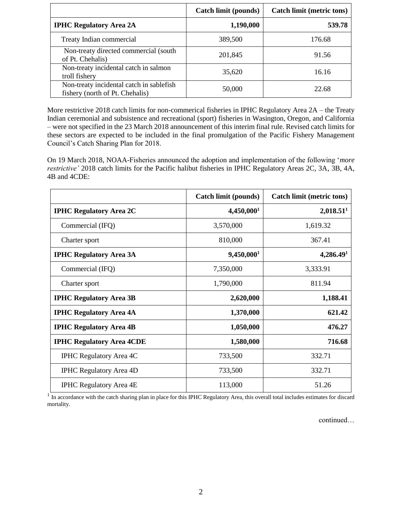|                                                                             | Catch limit (pounds) | Catch limit (metric tons) |
|-----------------------------------------------------------------------------|----------------------|---------------------------|
| <b>IPHC Regulatory Area 2A</b>                                              | 1,190,000            | 539.78                    |
| Treaty Indian commercial                                                    | 389,500              | 176.68                    |
| Non-treaty directed commercial (south)<br>of Pt. Chehalis)                  | 201,845              | 91.56                     |
| Non-treaty incidental catch in salmon<br>troll fishery                      | 35,620               | 16.16                     |
| Non-treaty incidental catch in sablefish<br>fishery (north of Pt. Chehalis) | 50,000               | 22.68                     |

More restrictive 2018 catch limits for non-commerical fisheries in IPHC Regulatory Area 2A – the Treaty Indian ceremonial and subsistence and recreational (sport) fisheries in Wasington, Oregon, and California – were not specified in the 23 March 2018 announcement of this interim final rule. Revised catch limits for these sectors are expected to be included in the final promulgation of the Pacific Fishery Management Council's Catch Sharing Plan for 2018.

On 19 March 2018, NOAA-Fisheries announced the adoption and implementation of the following '*more restrictive'* 2018 catch limits for the Pacific halibut fisheries in IPHC Regulatory Areas 2C, 3A, 3B, 4A, 4B and 4CDE:

|                                  | Catch limit (pounds)   | <b>Catch limit (metric tons)</b> |
|----------------------------------|------------------------|----------------------------------|
| <b>IPHC Regulatory Area 2C</b>   | 4,450,000 <sup>1</sup> | 2,018.51 <sup>1</sup>            |
| Commercial (IFQ)                 | 3,570,000              | 1,619.32                         |
| Charter sport                    | 810,000                | 367.41                           |
| <b>IPHC Regulatory Area 3A</b>   | 9,450,000 <sup>1</sup> | 4,286.49 <sup>1</sup>            |
| Commercial (IFQ)                 | 7,350,000              | 3,333.91                         |
| Charter sport                    | 1,790,000              | 811.94                           |
| <b>IPHC Regulatory Area 3B</b>   | 2,620,000              | 1,188.41                         |
| <b>IPHC Regulatory Area 4A</b>   | 1,370,000              | 621.42                           |
| <b>IPHC Regulatory Area 4B</b>   | 1,050,000              | 476.27                           |
| <b>IPHC Regulatory Area 4CDE</b> | 1,580,000              | 716.68                           |
| <b>IPHC Regulatory Area 4C</b>   | 733,500                | 332.71                           |
| <b>IPHC Regulatory Area 4D</b>   | 733,500                | 332.71                           |
| <b>IPHC Regulatory Area 4E</b>   | 113,000                | 51.26                            |

 $<sup>1</sup>$  In accordance with the catch sharing plan in place for this IPHC Regulatory Area, this overall total includes estimates for discard</sup> mortality.

continued…